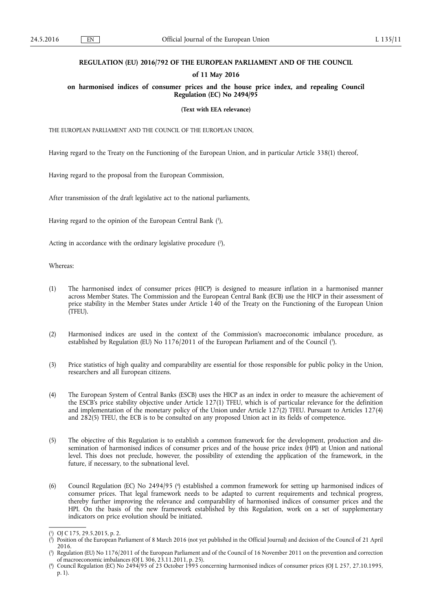## **REGULATION (EU) 2016/792 OF THE EUROPEAN PARLIAMENT AND OF THE COUNCIL**

## **of 11 May 2016**

**on harmonised indices of consumer prices and the house price index, and repealing Council Regulation (EC) No 2494/95** 

**(Text with EEA relevance)** 

THE EUROPEAN PARLIAMENT AND THE COUNCIL OF THE EUROPEAN UNION,

Having regard to the Treaty on the Functioning of the European Union, and in particular Article 338(1) thereof,

Having regard to the proposal from the European Commission,

After transmission of the draft legislative act to the national parliaments,

Having regard to the opinion of the European Central Bank ( 1 ),

Acting in accordance with the ordinary legislative procedure (2),

Whereas:

- (1) The harmonised index of consumer prices (HICP) is designed to measure inflation in a harmonised manner across Member States. The Commission and the European Central Bank (ECB) use the HICP in their assessment of price stability in the Member States under Article 140 of the Treaty on the Functioning of the European Union (TFEU).
- (2) Harmonised indices are used in the context of the Commission's macroeconomic imbalance procedure, as established by Regulation (EU) No 1176/2011 of the European Parliament and of the Council (3).
- (3) Price statistics of high quality and comparability are essential for those responsible for public policy in the Union, researchers and all European citizens.
- (4) The European System of Central Banks (ESCB) uses the HICP as an index in order to measure the achievement of the ESCB's price stability objective under Article 127(1) TFEU, which is of particular relevance for the definition and implementation of the monetary policy of the Union under Article 127(2) TFEU. Pursuant to Articles 127(4) and 282(5) TFEU, the ECB is to be consulted on any proposed Union act in its fields of competence.
- (5) The objective of this Regulation is to establish a common framework for the development, production and dissemination of harmonised indices of consumer prices and of the house price index (HPI) at Union and national level. This does not preclude, however, the possibility of extending the application of the framework, in the future, if necessary, to the subnational level.
- (6) Council Regulation (EC) No 2494/95 ( 4 ) established a common framework for setting up harmonised indices of consumer prices. That legal framework needs to be adapted to current requirements and technical progress, thereby further improving the relevance and comparability of harmonised indices of consumer prices and the HPI. On the basis of the new framework established by this Regulation, work on a set of supplementary indicators on price evolution should be initiated.

 $\binom{1}{1}$ ) OJ C 175, 29.5.2015, p. 2.

 $(2)$ ) Position of the European Parliament of 8 March 2016 (not yet published in the Official Journal) and decision of the Council of 21 April 2016.

<sup>(</sup> 3 ) Regulation (EU) No 1176/2011 of the European Parliament and of the Council of 16 November 2011 on the prevention and correction of macroeconomic imbalances (OJ L 306, 23.11.2011, p. 25).

<sup>(</sup> 4 ) Council Regulation (EC) No 2494/95 of 23 October 1995 concerning harmonised indices of consumer prices (OJ L 257, 27.10.1995, p. 1).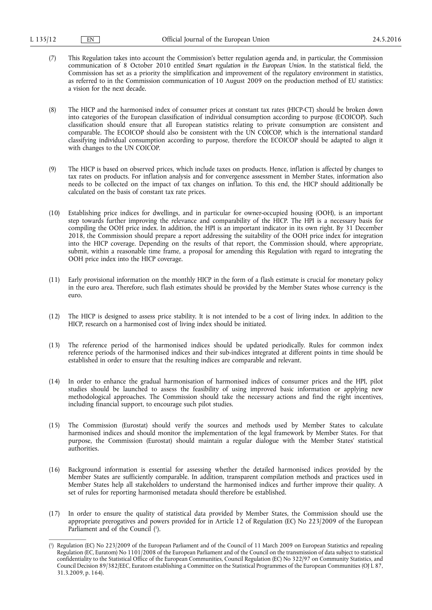(7) This Regulation takes into account the Commission's better regulation agenda and, in particular, the Commission communication of 8 October 2010 entitled *Smart regulation in the European Union*. In the statistical field, the Commission has set as a priority the simplification and improvement of the regulatory environment in statistics, as referred to in the Commission communication of 10 August 2009 on the production method of EU statistics: a vision for the next decade.

(8) The HICP and the harmonised index of consumer prices at constant tax rates (HICP-CT) should be broken down into categories of the European classification of individual consumption according to purpose (ECOICOP). Such classification should ensure that all European statistics relating to private consumption are consistent and comparable. The ECOICOP should also be consistent with the UN COICOP, which is the international standard classifying individual consumption according to purpose, therefore the ECOICOP should be adapted to align it with changes to the UN COICOP.

- (9) The HICP is based on observed prices, which include taxes on products. Hence, inflation is affected by changes to tax rates on products. For inflation analysis and for convergence assessment in Member States, information also needs to be collected on the impact of tax changes on inflation. To this end, the HICP should additionally be calculated on the basis of constant tax rate prices.
- (10) Establishing price indices for dwellings, and in particular for owner-occupied housing (OOH), is an important step towards further improving the relevance and comparability of the HICP. The HPI is a necessary basis for compiling the OOH price index. In addition, the HPI is an important indicator in its own right. By 31 December 2018, the Commission should prepare a report addressing the suitability of the OOH price index for integration into the HICP coverage. Depending on the results of that report, the Commission should, where appropriate, submit, within a reasonable time frame, a proposal for amending this Regulation with regard to integrating the OOH price index into the HICP coverage.
- (11) Early provisional information on the monthly HICP in the form of a flash estimate is crucial for monetary policy in the euro area. Therefore, such flash estimates should be provided by the Member States whose currency is the euro.
- (12) The HICP is designed to assess price stability. It is not intended to be a cost of living index. In addition to the HICP, research on a harmonised cost of living index should be initiated.
- (13) The reference period of the harmonised indices should be updated periodically. Rules for common index reference periods of the harmonised indices and their sub-indices integrated at different points in time should be established in order to ensure that the resulting indices are comparable and relevant.
- (14) In order to enhance the gradual harmonisation of harmonised indices of consumer prices and the HPI, pilot studies should be launched to assess the feasibility of using improved basic information or applying new methodological approaches. The Commission should take the necessary actions and find the right incentives, including financial support, to encourage such pilot studies.
- (15) The Commission (Eurostat) should verify the sources and methods used by Member States to calculate harmonised indices and should monitor the implementation of the legal framework by Member States. For that purpose, the Commission (Eurostat) should maintain a regular dialogue with the Member States' statistical authorities.
- (16) Background information is essential for assessing whether the detailed harmonised indices provided by the Member States are sufficiently comparable. In addition, transparent compilation methods and practices used in Member States help all stakeholders to understand the harmonised indices and further improve their quality. A set of rules for reporting harmonised metadata should therefore be established.
- (17) In order to ensure the quality of statistical data provided by Member States, the Commission should use the appropriate prerogatives and powers provided for in Article 12 of Regulation (EC) No 223/2009 of the European Parliament and of the Council (<sup>1</sup>).

<sup>(</sup> 1 ) Regulation (EC) No 223/2009 of the European Parliament and of the Council of 11 March 2009 on European Statistics and repealing Regulation (EC, Euratom) No 1101/2008 of the European Parliament and of the Council on the transmission of data subject to statistical confidentiality to the Statistical Office of the European Communities, Council Regulation (EC) No 322/97 on Community Statistics, and Council Decision 89/382/EEC, Euratom establishing a Committee on the Statistical Programmes of the European Communities (OJ L 87, 31.3.2009, p. 164).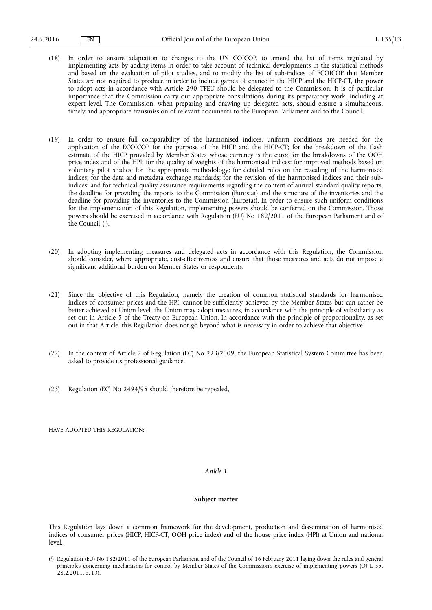- (18) In order to ensure adaptation to changes to the UN COICOP, to amend the list of items regulated by implementing acts by adding items in order to take account of technical developments in the statistical methods and based on the evaluation of pilot studies, and to modify the list of sub-indices of ECOICOP that Member States are not required to produce in order to include games of chance in the HICP and the HICP-CT, the power to adopt acts in accordance with Article 290 TFEU should be delegated to the Commission. It is of particular importance that the Commission carry out appropriate consultations during its preparatory work, including at expert level. The Commission, when preparing and drawing up delegated acts, should ensure a simultaneous, timely and appropriate transmission of relevant documents to the European Parliament and to the Council.
- (19) In order to ensure full comparability of the harmonised indices, uniform conditions are needed for the application of the ECOICOP for the purpose of the HICP and the HICP-CT; for the breakdown of the flash estimate of the HICP provided by Member States whose currency is the euro; for the breakdowns of the OOH price index and of the HPI; for the quality of weights of the harmonised indices; for improved methods based on voluntary pilot studies; for the appropriate methodology; for detailed rules on the rescaling of the harmonised indices; for the data and metadata exchange standards; for the revision of the harmonised indices and their subindices; and for technical quality assurance requirements regarding the content of annual standard quality reports, the deadline for providing the reports to the Commission (Eurostat) and the structure of the inventories and the deadline for providing the inventories to the Commission (Eurostat). In order to ensure such uniform conditions for the implementation of this Regulation, implementing powers should be conferred on the Commission. Those powers should be exercised in accordance with Regulation (EU) No 182/2011 of the European Parliament and of the Council ( 1 ).
- (20) In adopting implementing measures and delegated acts in accordance with this Regulation, the Commission should consider, where appropriate, cost-effectiveness and ensure that those measures and acts do not impose a significant additional burden on Member States or respondents.
- (21) Since the objective of this Regulation, namely the creation of common statistical standards for harmonised indices of consumer prices and the HPI, cannot be sufficiently achieved by the Member States but can rather be better achieved at Union level, the Union may adopt measures, in accordance with the principle of subsidiarity as set out in Article 5 of the Treaty on European Union. In accordance with the principle of proportionality, as set out in that Article, this Regulation does not go beyond what is necessary in order to achieve that objective.
- (22) In the context of Article 7 of Regulation (EC) No 223/2009, the European Statistical System Committee has been asked to provide its professional guidance.
- (23) Regulation (EC) No 2494/95 should therefore be repealed,

HAVE ADOPTED THIS REGULATION:

## *Article 1*

### **Subject matter**

This Regulation lays down a common framework for the development, production and dissemination of harmonised indices of consumer prices (HICP, HICP-CT, OOH price index) and of the house price index (HPI) at Union and national level.

<sup>(</sup> 1 ) Regulation (EU) No 182/2011 of the European Parliament and of the Council of 16 February 2011 laying down the rules and general principles concerning mechanisms for control by Member States of the Commission's exercise of implementing powers (OJ L 55, 28.2.2011, p. 13).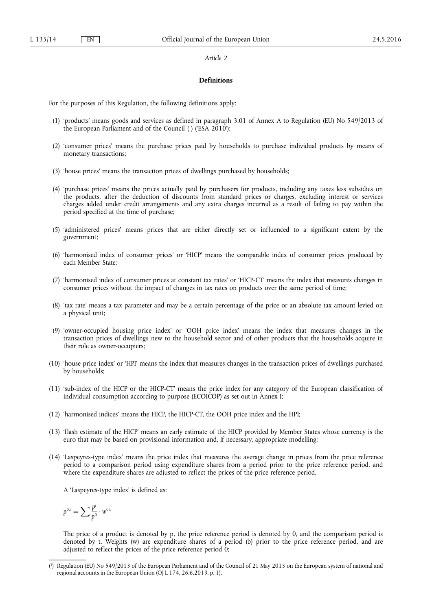#### *Article 2*

#### **Definitions**

For the purposes of this Regulation, the following definitions apply:

- (1) 'products' means goods and services as defined in paragraph 3.01 of Annex A to Regulation (EU) No 549/2013 of the European Parliament and of the Council ( 1 ) ('ESA 2010');
- (2) 'consumer prices' means the purchase prices paid by households to purchase individual products by means of monetary transactions;
- (3) 'house prices' means the transaction prices of dwellings purchased by households;
- (4) 'purchase prices' means the prices actually paid by purchasers for products, including any taxes less subsidies on the products, after the deduction of discounts from standard prices or charges, excluding interest or services charges added under credit arrangements and any extra charges incurred as a result of failing to pay within the period specified at the time of purchase;
- (5) 'administered prices' means prices that are either directly set or influenced to a significant extent by the government;
- (6) 'harmonised index of consumer prices' or 'HICP' means the comparable index of consumer prices produced by each Member State;
- (7) 'harmonised index of consumer prices at constant tax rates' or 'HICP-CT' means the index that measures changes in consumer prices without the impact of changes in tax rates on products over the same period of time;
- (8) 'tax rate' means a tax parameter and may be a certain percentage of the price or an absolute tax amount levied on a physical unit;
- (9) 'owner-occupied housing price index' or 'OOH price index' means the index that measures changes in the transaction prices of dwellings new to the household sector and of other products that the households acquire in their role as owner-occupiers;
- (10) 'house price index' or 'HPI' means the index that measures changes in the transaction prices of dwellings purchased by households;
- (11) 'sub-index of the HICP or the HICP-CT' means the price index for any category of the European classification of individual consumption according to purpose (ECOICOP) as set out in Annex I;
- (12) 'harmonised indices' means the HICP, the HICP-CT, the OOH price index and the HPI;
- (13) 'flash estimate of the HICP' means an early estimate of the HICP provided by Member States whose currency is the euro that may be based on provisional information and, if necessary, appropriate modelling;
- (14) 'Laspeyres-type index' means the price index that measures the average change in prices from the price reference period to a comparison period using expenditure shares from a period prior to the price reference period, and where the expenditure shares are adjusted to reflect the prices of the price reference period.

A 'Laspeyres-type index' is defined as:

$$
p^{0,t}=\sum\frac{p^t}{p^0}\cdot w^{0,b}
$$

The price of a product is denoted by p, the price reference period is denoted by 0, and the comparison period is denoted by t. Weights (w) are expenditure shares of a period (b) prior to the price reference period, and are adjusted to reflect the prices of the price reference period  $\hat{0}$ ;

<sup>(</sup> 1 ) Regulation (EU) No 549/2013 of the European Parliament and of the Council of 21 May 2013 on the European system of national and regional accounts in the European Union (OJ L 174, 26.6.2013, p. 1).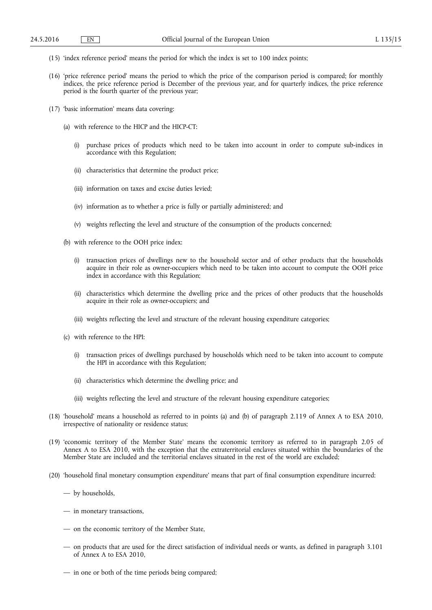- (15) 'index reference period' means the period for which the index is set to 100 index points;
- (16) 'price reference period' means the period to which the price of the comparison period is compared; for monthly indices, the price reference period is December of the previous year, and for quarterly indices, the price reference period is the fourth quarter of the previous year;
- (17) 'basic information' means data covering:
	- (a) with reference to the HICP and the HICP-CT:
		- (i) purchase prices of products which need to be taken into account in order to compute sub-indices in accordance with this Regulation;
		- (ii) characteristics that determine the product price;
		- (iii) information on taxes and excise duties levied;
		- (iv) information as to whether a price is fully or partially administered; and
		- (v) weights reflecting the level and structure of the consumption of the products concerned;
	- (b) with reference to the OOH price index:
		- (i) transaction prices of dwellings new to the household sector and of other products that the households acquire in their role as owner-occupiers which need to be taken into account to compute the OOH price index in accordance with this Regulation;
		- (ii) characteristics which determine the dwelling price and the prices of other products that the households acquire in their role as owner-occupiers; and
		- (iii) weights reflecting the level and structure of the relevant housing expenditure categories;
	- (c) with reference to the HPI:
		- (i) transaction prices of dwellings purchased by households which need to be taken into account to compute the HPI in accordance with this Regulation;
		- (ii) characteristics which determine the dwelling price; and
		- (iii) weights reflecting the level and structure of the relevant housing expenditure categories;
- (18) 'household' means a household as referred to in points (a) and (b) of paragraph 2.119 of Annex A to ESA 2010, irrespective of nationality or residence status;
- (19) 'economic territory of the Member State' means the economic territory as referred to in paragraph 2.05 of Annex A to ESA 2010, with the exception that the extraterritorial enclaves situated within the boundaries of the Member State are included and the territorial enclaves situated in the rest of the world are excluded;
- (20) 'household final monetary consumption expenditure' means that part of final consumption expenditure incurred:
	- by households,
	- in monetary transactions,
	- on the economic territory of the Member State,
	- on products that are used for the direct satisfaction of individual needs or wants, as defined in paragraph 3.101 of Annex A to ESA 2010,
	- in one or both of the time periods being compared;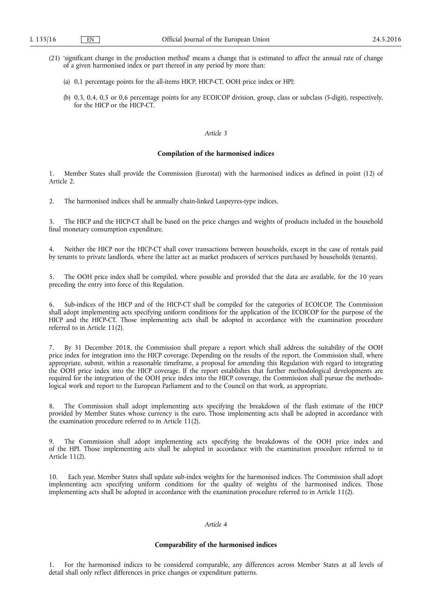- (21) 'significant change in the production method' means a change that is estimated to affect the annual rate of change of a given harmonised index or part thereof in any period by more than:
	- (a) 0,1 percentage points for the all-items HICP, HICP-CT, OOH price index or HPI;
	- (b) 0,3, 0,4, 0,5 or 0,6 percentage points for any ECOICOP division, group, class or subclass (5-digit), respectively, for the HICP or the HICP-CT.

## *Article 3*

### **Compilation of the harmonised indices**

1. Member States shall provide the Commission (Eurostat) with the harmonised indices as defined in point (12) of Article 2.

2. The harmonised indices shall be annually chain-linked Laspeyres-type indices.

3. The HICP and the HICP-CT shall be based on the price changes and weights of products included in the household final monetary consumption expenditure.

4. Neither the HICP nor the HICP-CT shall cover transactions between households, except in the case of rentals paid by tenants to private landlords, where the latter act as market producers of services purchased by households (tenants).

5. The OOH price index shall be compiled, where possible and provided that the data are available, for the 10 years preceding the entry into force of this Regulation.

6. Sub-indices of the HICP and of the HICP-CT shall be compiled for the categories of ECOICOP. The Commission shall adopt implementing acts specifying uniform conditions for the application of the ECOICOP for the purpose of the HICP and the HICP-CT. Those implementing acts shall be adopted in accordance with the examination procedure referred to in Article 11(2).

7. By 31 December 2018, the Commission shall prepare a report which shall address the suitability of the OOH price index for integration into the HICP coverage. Depending on the results of the report, the Commission shall, where appropriate, submit, within a reasonable timeframe, a proposal for amending this Regulation with regard to integrating the OOH price index into the HICP coverage. If the report establishes that further methodological developments are required for the integration of the OOH price index into the HICP coverage, the Commission shall pursue the methodological work and report to the European Parliament and to the Council on that work, as appropriate.

8. The Commission shall adopt implementing acts specifying the breakdown of the flash estimate of the HICP provided by Member States whose currency is the euro. Those implementing acts shall be adopted in accordance with the examination procedure referred to in Article 11(2).

The Commission shall adopt implementing acts specifying the breakdowns of the OOH price index and of the HPI. Those implementing acts shall be adopted in accordance with the examination procedure referred to in Article 11(2).

10. Each year, Member States shall update sub-index weights for the harmonised indices. The Commission shall adopt implementing acts specifying uniform conditions for the quality of weights of the harmonised indices. Those implementing acts shall be adopted in accordance with the examination procedure referred to in Article 11(2).

## *Article 4*

## **Comparability of the harmonised indices**

1. For the harmonised indices to be considered comparable, any differences across Member States at all levels of detail shall only reflect differences in price changes or expenditure patterns.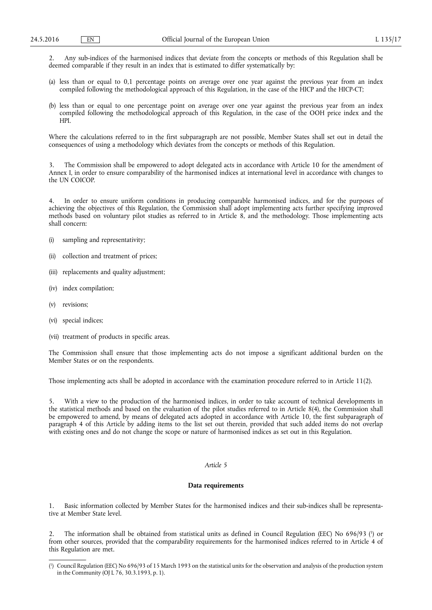2. Any sub-indices of the harmonised indices that deviate from the concepts or methods of this Regulation shall be deemed comparable if they result in an index that is estimated to differ systematically by:

- (a) less than or equal to 0,1 percentage points on average over one year against the previous year from an index compiled following the methodological approach of this Regulation, in the case of the HICP and the HICP-CT;
- (b) less than or equal to one percentage point on average over one year against the previous year from an index compiled following the methodological approach of this Regulation, in the case of the OOH price index and the HPI.

Where the calculations referred to in the first subparagraph are not possible, Member States shall set out in detail the consequences of using a methodology which deviates from the concepts or methods of this Regulation.

The Commission shall be empowered to adopt delegated acts in accordance with Article 10 for the amendment of Annex I, in order to ensure comparability of the harmonised indices at international level in accordance with changes to the UN COICOP.

4. In order to ensure uniform conditions in producing comparable harmonised indices, and for the purposes of achieving the objectives of this Regulation, the Commission shall adopt implementing acts further specifying improved methods based on voluntary pilot studies as referred to in Article 8, and the methodology. Those implementing acts shall concern:

- (i) sampling and representativity;
- (ii) collection and treatment of prices;
- (iii) replacements and quality adjustment;
- (iv) index compilation;
- (v) revisions;
- (vi) special indices;
- (vii) treatment of products in specific areas.

The Commission shall ensure that those implementing acts do not impose a significant additional burden on the Member States or on the respondents.

Those implementing acts shall be adopted in accordance with the examination procedure referred to in Article 11(2).

With a view to the production of the harmonised indices, in order to take account of technical developments in the statistical methods and based on the evaluation of the pilot studies referred to in Article 8(4), the Commission shall be empowered to amend, by means of delegated acts adopted in accordance with Article 10, the first subparagraph of paragraph 4 of this Article by adding items to the list set out therein, provided that such added items do not overlap with existing ones and do not change the scope or nature of harmonised indices as set out in this Regulation.

## *Article 5*

#### **Data requirements**

1. Basic information collected by Member States for the harmonised indices and their sub-indices shall be representative at Member State level.

2. The information shall be obtained from statistical units as defined in Council Regulation (EEC) No 696/93 (<sup>1</sup>) or from other sources, provided that the comparability requirements for the harmonised indices referred to in Article 4 of this Regulation are met.

<sup>(</sup> 1 ) Council Regulation (EEC) No 696/93 of 15 March 1993 on the statistical units for the observation and analysis of the production system in the Community (OJ L 76, 30.3.1993, p. 1).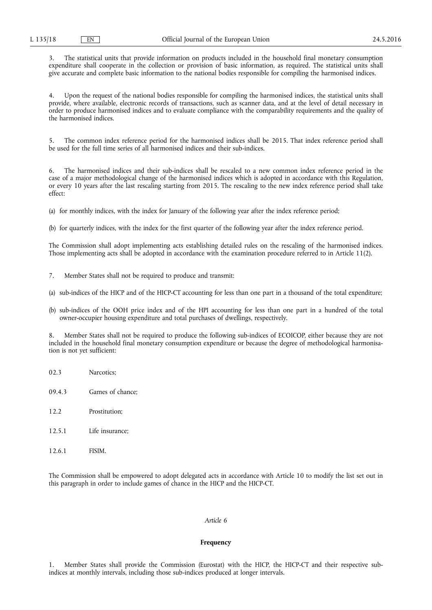3. The statistical units that provide information on products included in the household final monetary consumption expenditure shall cooperate in the collection or provision of basic information, as required. The statistical units shall give accurate and complete basic information to the national bodies responsible for compiling the harmonised indices.

Upon the request of the national bodies responsible for compiling the harmonised indices, the statistical units shall provide, where available, electronic records of transactions, such as scanner data, and at the level of detail necessary in order to produce harmonised indices and to evaluate compliance with the comparability requirements and the quality of the harmonised indices.

5. The common index reference period for the harmonised indices shall be 2015. That index reference period shall be used for the full time series of all harmonised indices and their sub-indices.

6. The harmonised indices and their sub-indices shall be rescaled to a new common index reference period in the case of a major methodological change of the harmonised indices which is adopted in accordance with this Regulation, or every 10 years after the last rescaling starting from 2015. The rescaling to the new index reference period shall take effect:

(a) for monthly indices, with the index for January of the following year after the index reference period;

(b) for quarterly indices, with the index for the first quarter of the following year after the index reference period.

The Commission shall adopt implementing acts establishing detailed rules on the rescaling of the harmonised indices. Those implementing acts shall be adopted in accordance with the examination procedure referred to in Article 11(2).

- 7. Member States shall not be required to produce and transmit:
- (a) sub-indices of the HICP and of the HICP-CT accounting for less than one part in a thousand of the total expenditure;
- (b) sub-indices of the OOH price index and of the HPI accounting for less than one part in a hundred of the total owner-occupier housing expenditure and total purchases of dwellings, respectively.

8. Member States shall not be required to produce the following sub-indices of ECOICOP, either because they are not included in the household final monetary consumption expenditure or because the degree of methodological harmonisation is not yet sufficient:

- 02.3 Narcotics;
- 09.4.3 Games of chance;
- 12.2 Prostitution;
- 12.5.1 Life insurance;
- 12.6.1 FISIM.

The Commission shall be empowered to adopt delegated acts in accordance with Article 10 to modify the list set out in this paragraph in order to include games of chance in the HICP and the HICP-CT.

## *Article 6*

## **Frequency**

1. Member States shall provide the Commission (Eurostat) with the HICP, the HICP-CT and their respective subindices at monthly intervals, including those sub-indices produced at longer intervals.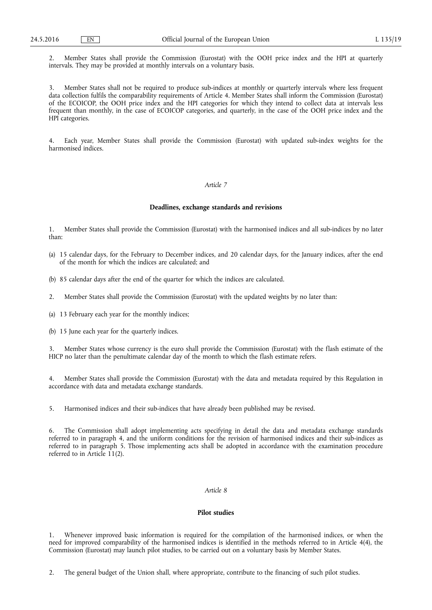2. Member States shall provide the Commission (Eurostat) with the OOH price index and the HPI at quarterly intervals. They may be provided at monthly intervals on a voluntary basis.

3. Member States shall not be required to produce sub-indices at monthly or quarterly intervals where less frequent data collection fulfils the comparability requirements of Article 4. Member States shall inform the Commission (Eurostat) of the ECOICOP, the OOH price index and the HPI categories for which they intend to collect data at intervals less frequent than monthly, in the case of ECOICOP categories, and quarterly, in the case of the OOH price index and the HPI categories.

Each year, Member States shall provide the Commission (Eurostat) with updated sub-index weights for the harmonised indices.

#### *Article 7*

## **Deadlines, exchange standards and revisions**

1. Member States shall provide the Commission (Eurostat) with the harmonised indices and all sub-indices by no later than:

- (a) 15 calendar days, for the February to December indices, and 20 calendar days, for the January indices, after the end of the month for which the indices are calculated; and
- (b) 85 calendar days after the end of the quarter for which the indices are calculated.
- 2. Member States shall provide the Commission (Eurostat) with the updated weights by no later than:
- (a) 13 February each year for the monthly indices;
- (b) 15 June each year for the quarterly indices.

3. Member States whose currency is the euro shall provide the Commission (Eurostat) with the flash estimate of the HICP no later than the penultimate calendar day of the month to which the flash estimate refers.

4. Member States shall provide the Commission (Eurostat) with the data and metadata required by this Regulation in accordance with data and metadata exchange standards.

5. Harmonised indices and their sub-indices that have already been published may be revised.

6. The Commission shall adopt implementing acts specifying in detail the data and metadata exchange standards referred to in paragraph 4, and the uniform conditions for the revision of harmonised indices and their sub-indices as referred to in paragraph 5. Those implementing acts shall be adopted in accordance with the examination procedure referred to in Article 11(2).

### *Article 8*

## **Pilot studies**

1. Whenever improved basic information is required for the compilation of the harmonised indices, or when the need for improved comparability of the harmonised indices is identified in the methods referred to in Article 4(4), the Commission (Eurostat) may launch pilot studies, to be carried out on a voluntary basis by Member States.

2. The general budget of the Union shall, where appropriate, contribute to the financing of such pilot studies.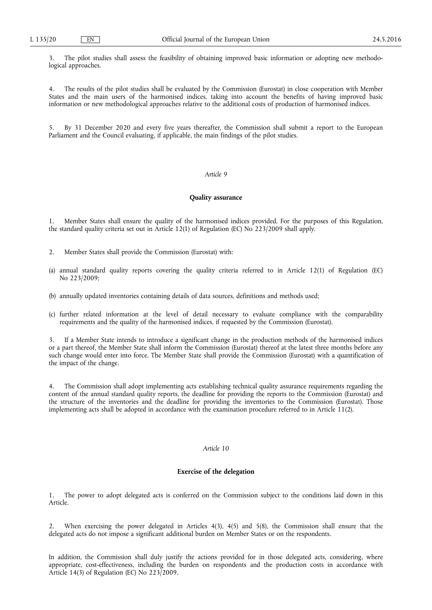3. The pilot studies shall assess the feasibility of obtaining improved basic information or adopting new methodological approaches.

4. The results of the pilot studies shall be evaluated by the Commission (Eurostat) in close cooperation with Member States and the main users of the harmonised indices, taking into account the benefits of having improved basic information or new methodological approaches relative to the additional costs of production of harmonised indices.

5. By 31 December 2020 and every five years thereafter, the Commission shall submit a report to the European Parliament and the Council evaluating, if applicable, the main findings of the pilot studies.

#### *Article 9*

## **Quality assurance**

1. Member States shall ensure the quality of the harmonised indices provided. For the purposes of this Regulation, the standard quality criteria set out in Article 12(1) of Regulation (EC) No  $223/2009$  shall apply.

- 2. Member States shall provide the Commission (Eurostat) with:
- (a) annual standard quality reports covering the quality criteria referred to in Article 12(1) of Regulation (EC) No 223/2009;
- (b) annually updated inventories containing details of data sources, definitions and methods used;
- (c) further related information at the level of detail necessary to evaluate compliance with the comparability requirements and the quality of the harmonised indices, if requested by the Commission (Eurostat).

If a Member State intends to introduce a significant change in the production methods of the harmonised indices or a part thereof, the Member State shall inform the Commission (Eurostat) thereof at the latest three months before any such change would enter into force. The Member State shall provide the Commission (Eurostat) with a quantification of the impact of the change.

The Commission shall adopt implementing acts establishing technical quality assurance requirements regarding the content of the annual standard quality reports, the deadline for providing the reports to the Commission (Eurostat) and the structure of the inventories and the deadline for providing the inventories to the Commission (Eurostat). Those implementing acts shall be adopted in accordance with the examination procedure referred to in Article 11(2).

## *Article 10*

## **Exercise of the delegation**

1. The power to adopt delegated acts is conferred on the Commission subject to the conditions laid down in this Article.

2. When exercising the power delegated in Articles 4(3), 4(5) and 5(8), the Commission shall ensure that the delegated acts do not impose a significant additional burden on Member States or on the respondents.

In addition, the Commission shall duly justify the actions provided for in those delegated acts, considering, where appropriate, cost-effectiveness, including the burden on respondents and the production costs in accordance with Article 14(3) of Regulation (EC) No  $223/2009$ .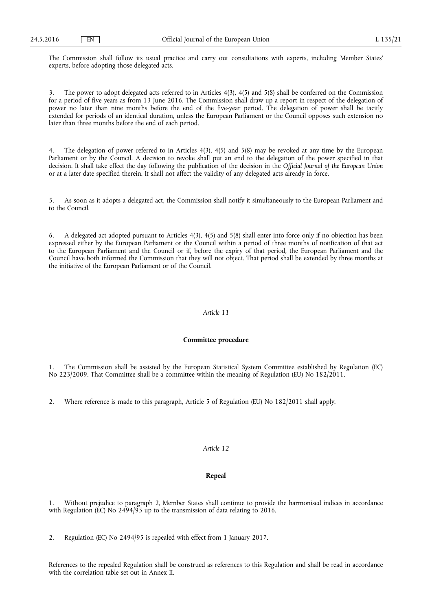The Commission shall follow its usual practice and carry out consultations with experts, including Member States' experts, before adopting those delegated acts.

The power to adopt delegated acts referred to in Articles  $4(3)$ ,  $4(5)$  and  $5(8)$  shall be conferred on the Commission for a period of five years as from 13 June 2016. The Commission shall draw up a report in respect of the delegation of power no later than nine months before the end of the five-year period. The delegation of power shall be tacitly extended for periods of an identical duration, unless the European Parliament or the Council opposes such extension no later than three months before the end of each period.

4. The delegation of power referred to in Articles 4(3), 4(5) and 5(8) may be revoked at any time by the European Parliament or by the Council. A decision to revoke shall put an end to the delegation of the power specified in that decision. It shall take effect the day following the publication of the decision in the *Official Journal of the European Union*  or at a later date specified therein. It shall not affect the validity of any delegated acts already in force.

5. As soon as it adopts a delegated act, the Commission shall notify it simultaneously to the European Parliament and to the Council.

6. A delegated act adopted pursuant to Articles 4(3), 4(5) and 5(8) shall enter into force only if no objection has been expressed either by the European Parliament or the Council within a period of three months of notification of that act to the European Parliament and the Council or if, before the expiry of that period, the European Parliament and the Council have both informed the Commission that they will not object. That period shall be extended by three months at the initiative of the European Parliament or of the Council.

## *Article 11*

## **Committee procedure**

1. The Commission shall be assisted by the European Statistical System Committee established by Regulation (EC) No 223/2009. That Committee shall be a committee within the meaning of Regulation (EU) No 182/2011.

2. Where reference is made to this paragraph, Article 5 of Regulation (EU) No 182/2011 shall apply.

## *Article 12*

## **Repeal**

1. Without prejudice to paragraph 2, Member States shall continue to provide the harmonised indices in accordance with Regulation (EC) No 2494/95 up to the transmission of data relating to 2016.

2. Regulation (EC) No 2494/95 is repealed with effect from 1 January 2017.

References to the repealed Regulation shall be construed as references to this Regulation and shall be read in accordance with the correlation table set out in Annex II.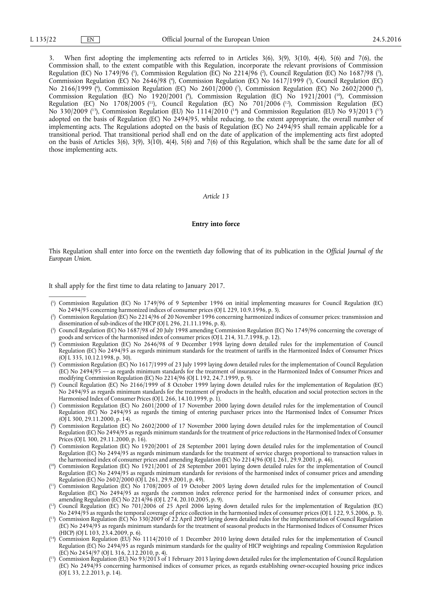3. When first adopting the implementing acts referred to in Articles 3(6), 3(9), 3(10), 4(4), 5(6) and 7(6), the Commission shall, to the extent compatible with this Regulation, incorporate the relevant provisions of Commission Regulation (EC) No 1749/96 (<sup>1</sup>), Commission Regulation (EC) No 2214/96 (<sup>2</sup>), Council Regulation (EC) No 1687/98 (<sup>3</sup>), Commission Regulation (EC) No 2646/98 (<sup>4</sup>), Commission Regulation (EC) No 1617/1999 (<sup>5</sup>), Council Regulation (EC) No 2166/1999 (°), Commission Regulation (EC) No 2601/2000 (7), Commission Regulation (EC) No 2602/2000 (°), Commission Regulation (EC) No 1920/2001 (<sup>9</sup>), Commission Regulation (EC) No 1921/2001 (<sup>10</sup>), Commission Regulation (EC) No 1708/2005 (<sup>11</sup>), Council Regulation (EC) No 701/2006 (<sup>12</sup>), Commission Regulation (EC) No 330/2009 (<sup>13</sup>), Commission Regulation (EU) No 1114/2010 (<sup>14</sup>) and Commission Regulation (EU) No 93/2013 (<sup>15</sup>) adopted on the basis of Regulation (EC) No 2494/95, whilst reducing, to the extent appropriate, the overall number of implementing acts. The Regulations adopted on the basis of Regulation (EC) No 2494/95 shall remain applicable for a transitional period. That transitional period shall end on the date of application of the implementing acts first adopted on the basis of Articles 3(6), 3(9), 3(10), 4(4), 5(6) and 7(6) of this Regulation, which shall be the same date for all of those implementing acts.

#### *Article 13*

#### **Entry into force**

This Regulation shall enter into force on the twentieth day following that of its publication in the *Official Journal of the European Union*.

It shall apply for the first time to data relating to January 2017.

- ( 4 ) Commission Regulation (EC) No 2646/98 of 9 December 1998 laying down detailed rules for the implementation of Council Regulation (EC) No 2494/95 as regards minimum standards for the treatment of tariffs in the Harmonized Index of Consumer Prices  $(O|I\ 335, 10.12.1998, p. 30)$ .
- ( 5 ) Commission Regulation (EC) No 1617/1999 of 23 July 1999 laying down detailed rules for the implementation of Council Regulation (EC) No 2494/95 — as regards minimum standards for the treatment of insurance in the Harmonized Index of Consumer Prices and modifying Commission Regulation (EC) No 2214/96 (OJ L 192, 24.7.1999, p. 9).
- ( 6 ) Council Regulation (EC) No 2166/1999 of 8 October 1999 laying down detailed rules for the implementation of Regulation (EC) No 2494/95 as regards minimum standards for the treatment of products in the health, education and social protection sectors in the Harmonised Index of Consumer Prices (OJ L 266, 14.10.1999, p. 1).
- ( 7 ) Commission Regulation (EC) No 2601/2000 of 17 November 2000 laying down detailed rules for the implementation of Council Regulation (EC) No 2494/95 as regards the timing of entering purchaser prices into the Harmonised Index of Consumer Prices (OJ L 300, 29.11.2000, p. 14).
- ( 8 ) Commission Regulation (EC) No 2602/2000 of 17 November 2000 laying down detailed rules for the implementation of Council Regulation (EC) No 2494/95 as regards minimum standards for the treatment of price reductions in the Harmonised Index of Consumer Prices (OJ L 300, 29.11.2000, p. 16).
- ( 9 ) Commission Regulation (EC) No 1920/2001 of 28 September 2001 laying down detailed rules for the implementation of Council Regulation (EC) No 2494/95 as regards minimum standards for the treatment of service charges proportional to transaction values in the harmonised index of consumer prices and amending Regulation (EC) No 2214/96 (OJ L 261, 29.9.2001, p. 46).
- ( 10) Commission Regulation (EC) No 1921/2001 of 28 September 2001 laying down detailed rules for the implementation of Council Regulation (EC) No 2494/95 as regards minimum standards for revisions of the harmonised index of consumer prices and amending Regulation (EC) No 2602/2000 (OJ L 261, 29.9.2001, p. 49).
- ( 11) Commission Regulation (EC) No 1708/2005 of 19 October 2005 laying down detailed rules for the implementation of Council Regulation (EC) No 2494/95 as regards the common index reference period for the harmonised index of consumer prices, and amending Regulation (EC) No 2214/96 (OJ L 274, 20.10.2005, p. 9).
- ( 12) Council Regulation (EC) No 701/2006 of 25 April 2006 laying down detailed rules for the implementation of Regulation (EC) No 2494/95 as regards the temporal coverage of price collection in the harmonised index of consumer prices (OJ L 122, 9.5.2006, p. 3).
- ( 13) Commission Regulation (EC) No 330/2009 of 22 April 2009 laying down detailed rules for the implementation of Council Regulation (EC) No 2494/95 as regards minimum standards for the treatment of seasonal products in the Harmonised Indices of Consumer Prices (HICP) (OJ L 103, 23.4.2009, p. 6).
- ( 14) Commission Regulation (EU) No 1114/2010 of 1 December 2010 laying down detailed rules for the implementation of Council Regulation (EC) No 2494/95 as regards minimum standards for the quality of HICP weightings and repealing Commission Regulation  $(E\breve{C})$  No 2454/97 (OJ L 316, 2.12.2010, p. 4).
- ( 15) Commission Regulation (EU) No 93/2013 of 1 February 2013 laying down detailed rules for the implementation of Council Regulation (EC) No 2494/95 concerning harmonised indices of consumer prices, as regards establishing owner-occupied housing price indices (OJ L 33, 2.2.2013, p. 14).

<sup>(</sup> 1 ) Commission Regulation (EC) No 1749/96 of 9 September 1996 on initial implementing measures for Council Regulation (EC) No 2494/95 concerning harmonized indices of consumer prices (OJ L 229, 10.9.1996, p. 3).

 $($ <sup>2</sup> ) Commission Regulation (EC) No 2214/96 of 20 November 1996 concerning harmonized indices of consumer prices: transmission and dissemination of sub-indices of the HICP (OJ L 296, 21.11.1996, p. 8).

<sup>(</sup> 3 ) Council Regulation (EC) No 1687/98 of 20 July 1998 amending Commission Regulation (EC) No 1749/96 concerning the coverage of goods and services of the harmonised index of consumer prices (OJ L 214, 31.7.1998, p. 12).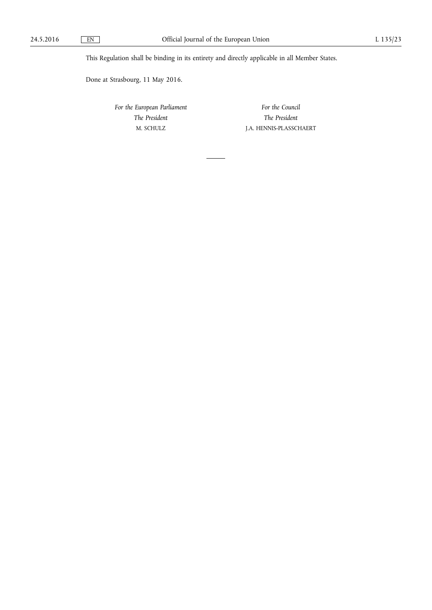This Regulation shall be binding in its entirety and directly applicable in all Member States.

Done at Strasbourg, 11 May 2016.

*For the European Parliament The President*  M. SCHULZ

*For the Council The President*  J.A. HENNIS-PLASSCHAERT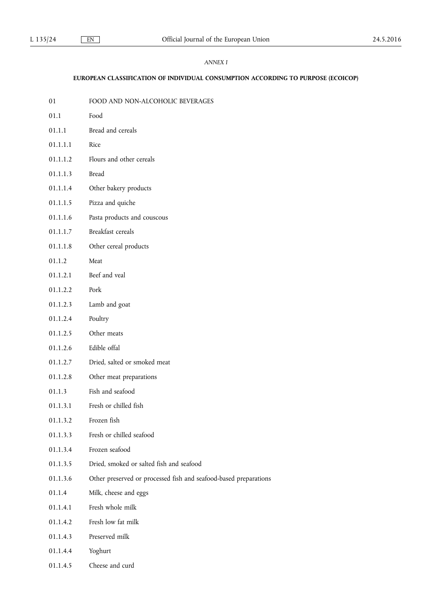## *ANNEX I*

## **EUROPEAN CLASSIFICATION OF INDIVIDUAL CONSUMPTION ACCORDING TO PURPOSE (ECOICOP)**

01 FOOD AND NON-ALCOHOLIC BEVERAGES 01.1 Food 01.1.1 Bread and cereals 01.1.1.1 Rice 01.1.1.2 Flours and other cereals 01.1.1.3 Bread 01.1.1.4 Other bakery products 01.1.1.5 Pizza and quiche 01.1.1.6 Pasta products and couscous 01.1.1.7 Breakfast cereals 01.1.1.8 Other cereal products 01.1.2 Meat 01.1.2.1 Beef and veal 01.1.2.2 Pork 01.1.2.3 Lamb and goat 01.1.2.4 Poultry 01.1.2.5 Other meats 01.1.2.6 Edible offal 01.1.2.7 Dried, salted or smoked meat 01.1.2.8 Other meat preparations 01.1.3 Fish and seafood 01.1.3.1 Fresh or chilled fish 01.1.3.2 Frozen fish 01.1.3.3 Fresh or chilled seafood 01.1.3.4 Frozen seafood 01.1.3.5 Dried, smoked or salted fish and seafood 01.1.3.6 Other preserved or processed fish and seafood-based preparations 01.1.4 Milk, cheese and eggs 01.1.4.1 Fresh whole milk 01.1.4.2 Fresh low fat milk 01.1.4.3 Preserved milk 01.1.4.4 Yoghurt 01.1.4.5 Cheese and curd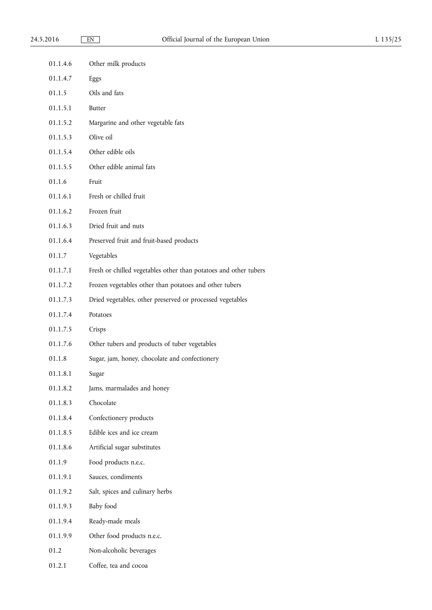| 01.1.4.6 | Other milk products                                              |
|----------|------------------------------------------------------------------|
| 01.1.4.7 | Eggs                                                             |
| 01.1.5   | Oils and fats                                                    |
| 01.1.5.1 | <b>Butter</b>                                                    |
| 01.1.5.2 | Margarine and other vegetable fats                               |
| 01.1.5.3 | Olive oil                                                        |
| 01.1.5.4 | Other edible oils                                                |
| 01.1.5.5 | Other edible animal fats                                         |
| 01.1.6   | Fruit                                                            |
| 01.1.6.1 | Fresh or chilled fruit                                           |
| 01.1.6.2 | Frozen fruit                                                     |
| 01.1.6.3 | Dried fruit and nuts                                             |
| 01.1.6.4 | Preserved fruit and fruit-based products                         |
| 01.1.7   | Vegetables                                                       |
| 01.1.7.1 | Fresh or chilled vegetables other than potatoes and other tubers |
| 01.1.7.2 | Frozen vegetables other than potatoes and other tubers           |
| 01.1.7.3 | Dried vegetables, other preserved or processed vegetables        |
| 01.1.7.4 | Potatoes                                                         |
| 01.1.7.5 | Crisps                                                           |
| 01.1.7.6 | Other tubers and products of tuber vegetables                    |
| 01.1.8   | Sugar, jam, honey, chocolate and confectionery                   |
| 01.1.8.1 | Sugar                                                            |
| 01.1.8.2 | Jams, marmalades and honey                                       |
| 01.1.8.3 | Chocolate                                                        |
| 01.1.8.4 | Confectionery products                                           |
| 01.1.8.5 | Edible ices and ice cream                                        |
| 01.1.8.6 | Artificial sugar substitutes                                     |
| 01.1.9   | Food products n.e.c.                                             |
| 01.1.9.1 | Sauces, condiments                                               |
| 01.1.9.2 | Salt, spices and culinary herbs                                  |
| 01.1.9.3 | Baby food                                                        |
| 01.1.9.4 | Ready-made meals                                                 |
| 01.1.9.9 | Other food products n.e.c.                                       |
| 01.2     | Non-alcoholic beverages                                          |
| 01.2.1   | Coffee, tea and cocoa                                            |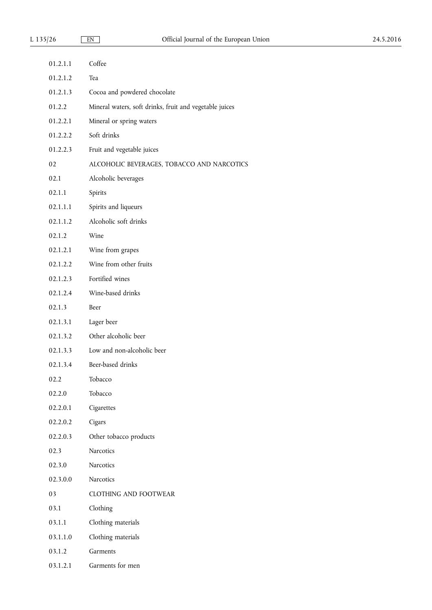| 01.2.1.1 | Coffee                                                  |
|----------|---------------------------------------------------------|
| 01.2.1.2 | Tea                                                     |
| 01.2.1.3 | Cocoa and powdered chocolate                            |
| 01.2.2   | Mineral waters, soft drinks, fruit and vegetable juices |
| 01.2.2.1 | Mineral or spring waters                                |
| 01.2.2.2 | Soft drinks                                             |
| 01.2.2.3 | Fruit and vegetable juices                              |
| 02       | ALCOHOLIC BEVERAGES, TOBACCO AND NARCOTICS              |
| 02.1     | Alcoholic beverages                                     |
| 02.1.1   | Spirits                                                 |
| 02.1.1.1 | Spirits and liqueurs                                    |
| 02.1.1.2 | Alcoholic soft drinks                                   |
| 02.1.2   | Wine                                                    |
| 02.1.2.1 | Wine from grapes                                        |
| 02.1.2.2 | Wine from other fruits                                  |
| 02.1.2.3 | Fortified wines                                         |
| 02.1.2.4 | Wine-based drinks                                       |
| 02.1.3   | Beer                                                    |
| 02.1.3.1 | Lager beer                                              |
| 02.1.3.2 | Other alcoholic beer                                    |
| 02.1.3.3 | Low and non-alcoholic beer                              |
| 02.1.3.4 | Beer-based drinks                                       |
| 02.2     | Tobacco                                                 |
| 02.2.0   | Tobacco                                                 |
| 02.2.0.1 | Cigarettes                                              |
| 02.2.0.2 | Cigars                                                  |
| 02.2.0.3 | Other tobacco products                                  |
| 02.3     | Narcotics                                               |
| 02.3.0   | Narcotics                                               |
| 02.3.0.0 | Narcotics                                               |
| 03       | <b>CLOTHING AND FOOTWEAR</b>                            |
| 03.1     | Clothing                                                |
| 03.1.1   | Clothing materials                                      |
| 03.1.1.0 | Clothing materials                                      |
| 03.1.2   | Garments                                                |
| 03.1.2.1 | Garments for men                                        |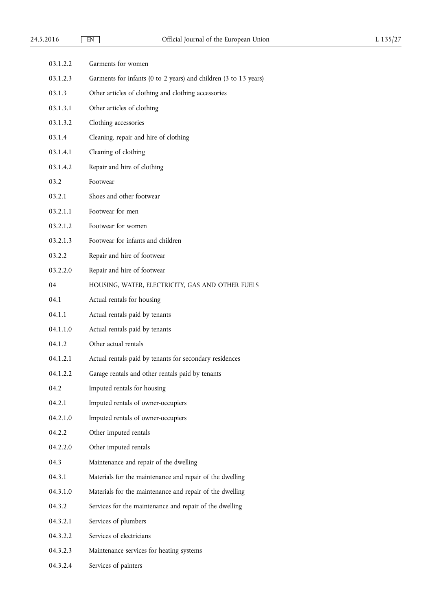| 03.1.2.2 | Garments for women                                               |
|----------|------------------------------------------------------------------|
| 03.1.2.3 | Garments for infants (0 to 2 years) and children (3 to 13 years) |
| 03.1.3   | Other articles of clothing and clothing accessories              |
| 03.1.3.1 | Other articles of clothing                                       |
| 03.1.3.2 | Clothing accessories                                             |
| 03.1.4   | Cleaning, repair and hire of clothing                            |
| 03.1.4.1 | Cleaning of clothing                                             |
| 03.1.4.2 | Repair and hire of clothing                                      |
| 03.2     | Footwear                                                         |
| 03.2.1   | Shoes and other footwear                                         |
| 03.2.1.1 | Footwear for men                                                 |
| 03.2.1.2 | Footwear for women                                               |
| 03.2.1.3 | Footwear for infants and children                                |
| 03.2.2   | Repair and hire of footwear                                      |
| 03.2.2.0 | Repair and hire of footwear                                      |
| 04       | HOUSING, WATER, ELECTRICITY, GAS AND OTHER FUELS                 |
| 04.1     | Actual rentals for housing                                       |
| 04.1.1   | Actual rentals paid by tenants                                   |
| 04.1.1.0 | Actual rentals paid by tenants                                   |
| 04.1.2   | Other actual rentals                                             |
| 04.1.2.1 | Actual rentals paid by tenants for secondary residences          |
| 04.1.2.2 | Garage rentals and other rentals paid by tenants                 |
| 04.2     | Imputed rentals for housing                                      |
| 04.2.1   | Imputed rentals of owner-occupiers                               |
| 04.2.1.0 | Imputed rentals of owner-occupiers                               |
| 04.2.2   | Other imputed rentals                                            |
| 04.2.2.0 | Other imputed rentals                                            |
| 04.3     | Maintenance and repair of the dwelling                           |
| 04.3.1   | Materials for the maintenance and repair of the dwelling         |
| 04.3.1.0 | Materials for the maintenance and repair of the dwelling         |
| 04.3.2   | Services for the maintenance and repair of the dwelling          |
| 04.3.2.1 | Services of plumbers                                             |
| 04.3.2.2 | Services of electricians                                         |
| 04.3.2.3 | Maintenance services for heating systems                         |
| 04.3.2.4 | Services of painters                                             |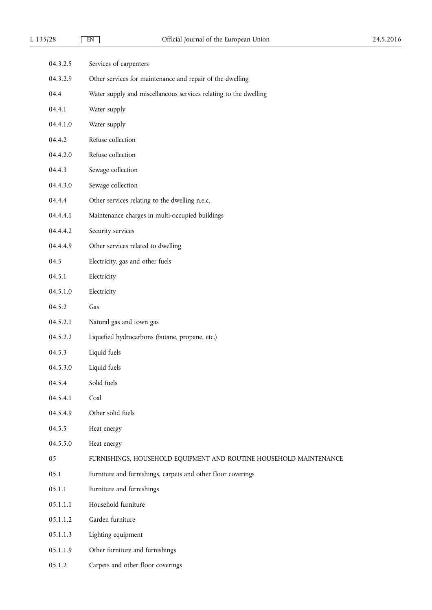| 04.3.2.5 | Services of carpenters                                             |
|----------|--------------------------------------------------------------------|
| 04.3.2.9 | Other services for maintenance and repair of the dwelling          |
| 04.4     | Water supply and miscellaneous services relating to the dwelling   |
| 04.4.1   | Water supply                                                       |
| 04.4.1.0 | Water supply                                                       |
| 04.4.2   | Refuse collection                                                  |
| 04.4.2.0 | Refuse collection                                                  |
| 04.4.3   | Sewage collection                                                  |
| 04.4.3.0 | Sewage collection                                                  |
| 04.4.4   | Other services relating to the dwelling n.e.c.                     |
| 04.4.4.1 | Maintenance charges in multi-occupied buildings                    |
| 04.4.4.2 | Security services                                                  |
| 04.4.4.9 | Other services related to dwelling                                 |
| 04.5     | Electricity, gas and other fuels                                   |
| 04.5.1   | Electricity                                                        |
| 04.5.1.0 | Electricity                                                        |
| 04.5.2   | Gas                                                                |
| 04.5.2.1 | Natural gas and town gas                                           |
| 04.5.2.2 | Liquefied hydrocarbons (butane, propane, etc.)                     |
| 04.5.3   | Liquid fuels                                                       |
| 04.5.3.0 | Liquid fuels                                                       |
| 04.5.4   | Solid fuels                                                        |
| 04.5.4.1 | Coal                                                               |
| 04.5.4.9 | Other solid fuels                                                  |
| 04.5.5   | Heat energy                                                        |
| 04.5.5.0 | Heat energy                                                        |
| 05       | FURNISHINGS, HOUSEHOLD EQUIPMENT AND ROUTINE HOUSEHOLD MAINTENANCE |
| 05.1     | Furniture and furnishings, carpets and other floor coverings       |
| 05.1.1   | Furniture and furnishings                                          |
| 05.1.1.1 | Household furniture                                                |
| 05.1.1.2 | Garden furniture                                                   |
| 05.1.1.3 | Lighting equipment                                                 |
| 05.1.1.9 | Other furniture and furnishings                                    |
| 05.1.2   | Carpets and other floor coverings                                  |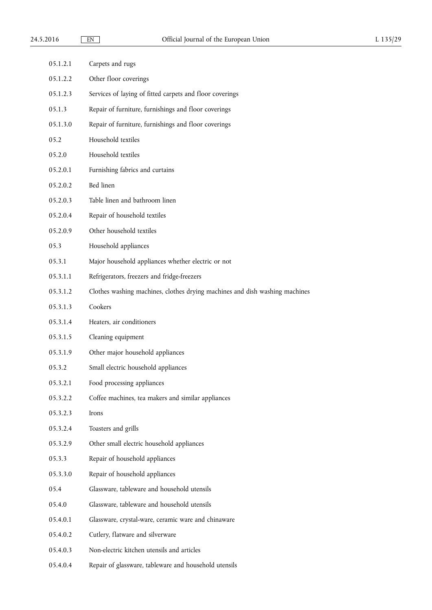| 05.1.2.1 | Carpets and rugs                                                            |
|----------|-----------------------------------------------------------------------------|
| 05.1.2.2 | Other floor coverings                                                       |
| 05.1.2.3 | Services of laying of fitted carpets and floor coverings                    |
| 05.1.3   | Repair of furniture, furnishings and floor coverings                        |
| 05.1.3.0 | Repair of furniture, furnishings and floor coverings                        |
| 05.2     | Household textiles                                                          |
| 05.2.0   | Household textiles                                                          |
| 05.2.0.1 | Furnishing fabrics and curtains                                             |
| 05.2.0.2 | Bed linen                                                                   |
| 05.2.0.3 | Table linen and bathroom linen                                              |
| 05.2.0.4 | Repair of household textiles                                                |
| 05.2.0.9 | Other household textiles                                                    |
| 05.3     | Household appliances                                                        |
| 05.3.1   | Major household appliances whether electric or not                          |
| 05.3.1.1 | Refrigerators, freezers and fridge-freezers                                 |
| 05.3.1.2 | Clothes washing machines, clothes drying machines and dish washing machines |
| 05.3.1.3 | Cookers                                                                     |
| 05.3.1.4 | Heaters, air conditioners                                                   |
| 05.3.1.5 | Cleaning equipment                                                          |
| 05.3.1.9 | Other major household appliances                                            |
| 05.3.2   | Small electric household appliances                                         |
| 05.3.2.1 | Food processing appliances                                                  |
| 05.3.2.2 | Coffee machines, tea makers and similar appliances                          |
| 05.3.2.3 | Irons                                                                       |
| 05.3.2.4 | Toasters and grills                                                         |
| 05.3.2.9 | Other small electric household appliances                                   |
| 05.3.3   | Repair of household appliances                                              |
| 05.3.3.0 | Repair of household appliances                                              |
| 05.4     | Glassware, tableware and household utensils                                 |
| 05.4.0   | Glassware, tableware and household utensils                                 |
| 05.4.0.1 | Glassware, crystal-ware, ceramic ware and chinaware                         |
| 05.4.0.2 | Cutlery, flatware and silverware                                            |
| 05.4.0.3 | Non-electric kitchen utensils and articles                                  |
| 05.4.0.4 | Repair of glassware, tableware and household utensils                       |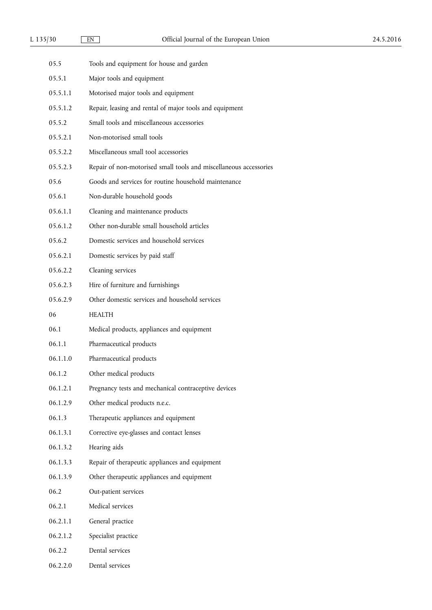| 05.5     | Tools and equipment for house and garden                          |
|----------|-------------------------------------------------------------------|
| 05.5.1   | Major tools and equipment                                         |
| 05.5.1.1 | Motorised major tools and equipment                               |
| 05.5.1.2 | Repair, leasing and rental of major tools and equipment           |
| 05.5.2   | Small tools and miscellaneous accessories                         |
| 05.5.2.1 | Non-motorised small tools                                         |
| 05.5.2.2 | Miscellaneous small tool accessories                              |
| 05.5.2.3 | Repair of non-motorised small tools and miscellaneous accessories |
| 05.6     | Goods and services for routine household maintenance              |
| 05.6.1   | Non-durable household goods                                       |
| 05.6.1.1 | Cleaning and maintenance products                                 |
| 05.6.1.2 | Other non-durable small household articles                        |
| 05.6.2   | Domestic services and household services                          |
| 05.6.2.1 | Domestic services by paid staff                                   |
| 05.6.2.2 | Cleaning services                                                 |
| 05.6.2.3 | Hire of furniture and furnishings                                 |
| 05.6.2.9 | Other domestic services and household services                    |
| 06       | <b>HEALTH</b>                                                     |
| 06.1     | Medical products, appliances and equipment                        |
| 06.1.1   | Pharmaceutical products                                           |
| 06.1.1.0 | Pharmaceutical products                                           |
| 06.1.2   | Other medical products                                            |
| 06.1.2.1 | Pregnancy tests and mechanical contraceptive devices              |
| 06.1.2.9 | Other medical products n.e.c.                                     |
| 06.1.3   | Therapeutic appliances and equipment                              |
| 06.1.3.1 | Corrective eye-glasses and contact lenses                         |
| 06.1.3.2 | Hearing aids                                                      |
| 06.1.3.3 | Repair of therapeutic appliances and equipment                    |
| 06.1.3.9 | Other therapeutic appliances and equipment                        |
| 06.2     | Out-patient services                                              |
| 06.2.1   | Medical services                                                  |
| 06.2.1.1 | General practice                                                  |
| 06.2.1.2 | Specialist practice                                               |
| 06.2.2   | Dental services                                                   |
| 06.2.2.0 | Dental services                                                   |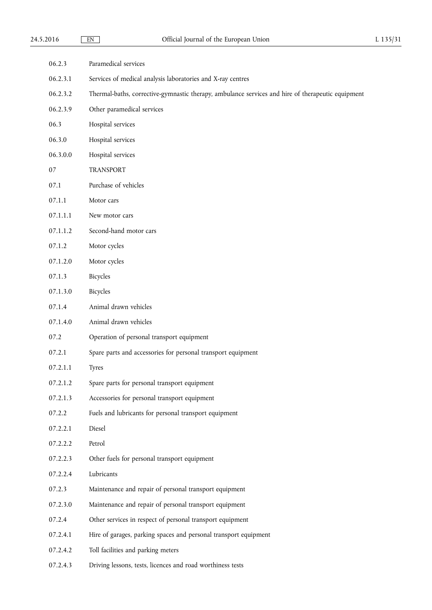| 06.2.3   | Paramedical services                                                                              |
|----------|---------------------------------------------------------------------------------------------------|
| 06.2.3.1 | Services of medical analysis laboratories and X-ray centres                                       |
| 06.2.3.2 | Thermal-baths, corrective-gymnastic therapy, ambulance services and hire of therapeutic equipment |
| 06.2.3.9 | Other paramedical services                                                                        |
| 06.3     | Hospital services                                                                                 |
| 06.3.0   | Hospital services                                                                                 |
| 06.3.0.0 | Hospital services                                                                                 |
| 07       | <b>TRANSPORT</b>                                                                                  |
| 07.1     | Purchase of vehicles                                                                              |
| 07.1.1   | Motor cars                                                                                        |
| 07.1.1.1 | New motor cars                                                                                    |
| 07.1.1.2 | Second-hand motor cars                                                                            |
| 07.1.2   | Motor cycles                                                                                      |
| 07.1.2.0 | Motor cycles                                                                                      |
| 07.1.3   | Bicycles                                                                                          |
| 07.1.3.0 | Bicycles                                                                                          |
| 07.1.4   | Animal drawn vehicles                                                                             |
| 07.1.4.0 | Animal drawn vehicles                                                                             |
| 07.2     | Operation of personal transport equipment                                                         |
| 07.2.1   | Spare parts and accessories for personal transport equipment                                      |
| 07.2.1.1 | <b>Tyres</b>                                                                                      |
| 07.2.1.2 | Spare parts for personal transport equipment                                                      |
| 07.2.1.3 | Accessories for personal transport equipment                                                      |
| 07.2.2   | Fuels and lubricants for personal transport equipment                                             |
| 07.2.2.1 | Diesel                                                                                            |
| 07.2.2.2 | Petrol                                                                                            |
| 07.2.2.3 | Other fuels for personal transport equipment                                                      |
| 07.2.2.4 | Lubricants                                                                                        |
| 07.2.3   | Maintenance and repair of personal transport equipment                                            |
| 07.2.3.0 | Maintenance and repair of personal transport equipment                                            |
| 07.2.4   | Other services in respect of personal transport equipment                                         |
| 07.2.4.1 | Hire of garages, parking spaces and personal transport equipment                                  |
| 07.2.4.2 | Toll facilities and parking meters                                                                |
| 07.2.4.3 | Driving lessons, tests, licences and road worthiness tests                                        |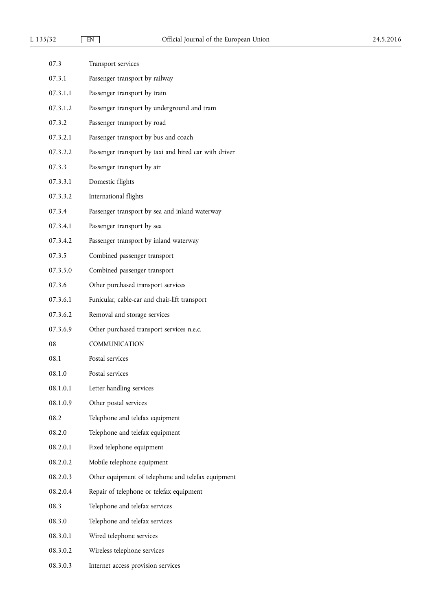| 07.3     | Transport services                                    |
|----------|-------------------------------------------------------|
| 07.3.1   | Passenger transport by railway                        |
| 07.3.1.1 | Passenger transport by train                          |
| 07.3.1.2 | Passenger transport by underground and tram           |
| 07.3.2   | Passenger transport by road                           |
| 07.3.2.1 | Passenger transport by bus and coach                  |
| 07.3.2.2 | Passenger transport by taxi and hired car with driver |
| 07.3.3   | Passenger transport by air                            |
| 07.3.3.1 | Domestic flights                                      |
| 07.3.3.2 | International flights                                 |
| 07.3.4   | Passenger transport by sea and inland waterway        |
| 07.3.4.1 | Passenger transport by sea                            |
| 07.3.4.2 | Passenger transport by inland waterway                |
| 07.3.5   | Combined passenger transport                          |
| 07.3.5.0 | Combined passenger transport                          |
| 07.3.6   | Other purchased transport services                    |
| 07.3.6.1 | Funicular, cable-car and chair-lift transport         |
| 07.3.6.2 | Removal and storage services                          |
| 07.3.6.9 | Other purchased transport services n.e.c.             |
| 08       | COMMUNICATION                                         |
| 08.1     | Postal services                                       |
| 08.1.0   | Postal services                                       |
| 08.1.0.1 | Letter handling services                              |
| 08.1.0.9 | Other postal services                                 |
| 08.2     | Telephone and telefax equipment                       |
| 08.2.0   | Telephone and telefax equipment                       |
| 08.2.0.1 | Fixed telephone equipment                             |
| 08.2.0.2 | Mobile telephone equipment                            |
| 08.2.0.3 | Other equipment of telephone and telefax equipment    |
| 08.2.0.4 | Repair of telephone or telefax equipment              |
| 08.3     | Telephone and telefax services                        |
| 08.3.0   | Telephone and telefax services                        |
| 08.3.0.1 | Wired telephone services                              |
| 08.3.0.2 | Wireless telephone services                           |
| 08.3.0.3 | Internet access provision services                    |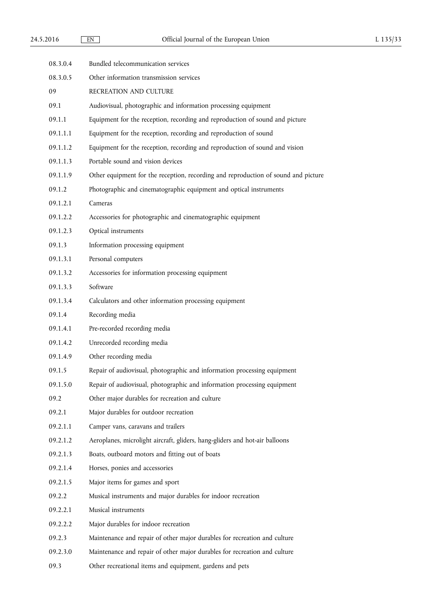| 08.3.0.4 | Bundled telecommunication services                                                 |
|----------|------------------------------------------------------------------------------------|
| 08.3.0.5 | Other information transmission services                                            |
| 09       | RECREATION AND CULTURE                                                             |
| 09.1     | Audiovisual, photographic and information processing equipment                     |
| 09.1.1   | Equipment for the reception, recording and reproduction of sound and picture       |
| 09.1.1.1 | Equipment for the reception, recording and reproduction of sound                   |
| 09.1.1.2 | Equipment for the reception, recording and reproduction of sound and vision        |
| 09.1.1.3 | Portable sound and vision devices                                                  |
| 09.1.1.9 | Other equipment for the reception, recording and reproduction of sound and picture |
| 09.1.2   | Photographic and cinematographic equipment and optical instruments                 |
| 09.1.2.1 | Cameras                                                                            |
| 09.1.2.2 | Accessories for photographic and cinematographic equipment                         |
| 09.1.2.3 | Optical instruments                                                                |
| 09.1.3   | Information processing equipment                                                   |
| 09.1.3.1 | Personal computers                                                                 |
| 09.1.3.2 | Accessories for information processing equipment                                   |
| 09.1.3.3 | Software                                                                           |
| 09.1.3.4 | Calculators and other information processing equipment                             |
| 09.1.4   | Recording media                                                                    |
| 09.1.4.1 | Pre-recorded recording media                                                       |
| 09.1.4.2 | Unrecorded recording media                                                         |
| 09.1.4.9 | Other recording media                                                              |
| 09.1.5   | Repair of audiovisual, photographic and information processing equipment           |
| 09.1.5.0 | Repair of audiovisual, photographic and information processing equipment           |
| 09.2     | Other major durables for recreation and culture                                    |
| 09.2.1   | Major durables for outdoor recreation                                              |
| 09.2.1.1 | Camper vans, caravans and trailers                                                 |
| 09.2.1.2 | Aeroplanes, microlight aircraft, gliders, hang-gliders and hot-air balloons        |
| 09.2.1.3 | Boats, outboard motors and fitting out of boats                                    |
| 09.2.1.4 | Horses, ponies and accessories                                                     |
| 09.2.1.5 | Major items for games and sport                                                    |
| 09.2.2   | Musical instruments and major durables for indoor recreation                       |
| 09.2.2.1 | Musical instruments                                                                |
| 09.2.2.2 | Major durables for indoor recreation                                               |
| 09.2.3   | Maintenance and repair of other major durables for recreation and culture          |
| 09.2.3.0 | Maintenance and repair of other major durables for recreation and culture          |
| 09.3     | Other recreational items and equipment, gardens and pets                           |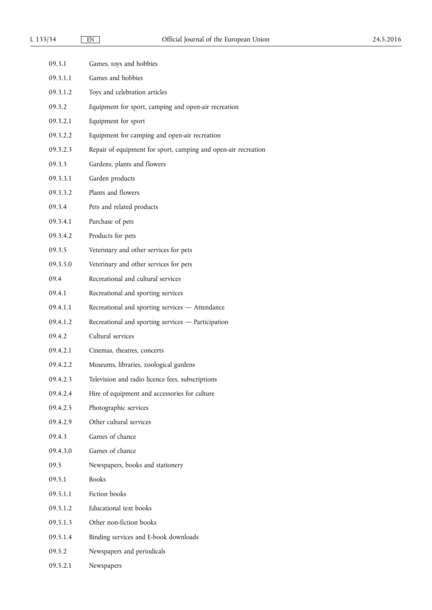| 09.3.1   | Games, toys and hobbies                                        |
|----------|----------------------------------------------------------------|
| 09.3.1.1 | Games and hobbies                                              |
| 09.3.1.2 | Toys and celebration articles                                  |
| 09.3.2   | Equipment for sport, camping and open-air recreation           |
| 09.3.2.1 | Equipment for sport                                            |
| 09.3.2.2 | Equipment for camping and open-air recreation                  |
| 09.3.2.3 | Repair of equipment for sport, camping and open-air recreation |
| 09.3.3   | Gardens, plants and flowers                                    |
| 09.3.3.1 | Garden products                                                |
| 09.3.3.2 | Plants and flowers                                             |
| 09.3.4   | Pets and related products                                      |
| 09.3.4.1 | Purchase of pets                                               |
| 09.3.4.2 | Products for pets                                              |
| 09.3.5   | Veterinary and other services for pets                         |
| 09.3.5.0 | Veterinary and other services for pets                         |
| 09.4     | Recreational and cultural services                             |
| 09.4.1   | Recreational and sporting services                             |
| 09.4.1.1 | Recreational and sporting services - Attendance                |
| 09.4.1.2 | Recreational and sporting services - Participation             |
| 09.4.2   | Cultural services                                              |
| 09.4.2.1 | Cinemas, theatres, concerts                                    |
| 09.4.2.2 | Museums, libraries, zoological gardens                         |
| 09.4.2.3 | Television and radio licence fees, subscriptions               |
| 09.4.2.4 | Hire of equipment and accessories for culture                  |
| 09.4.2.5 | Photographic services                                          |
| 09.4.2.9 | Other cultural services                                        |
| 09.4.3   | Games of chance                                                |
| 09.4.3.0 | Games of chance                                                |
| 09.5     | Newspapers, books and stationery                               |
| 09.5.1   | <b>Books</b>                                                   |
| 09.5.1.1 | Fiction books                                                  |
| 09.5.1.2 | Educational text books                                         |
| 09.5.1.3 | Other non-fiction books                                        |
| 09.5.1.4 | Binding services and E-book downloads                          |
| 09.5.2   | Newspapers and periodicals                                     |
| 09.5.2.1 | Newspapers                                                     |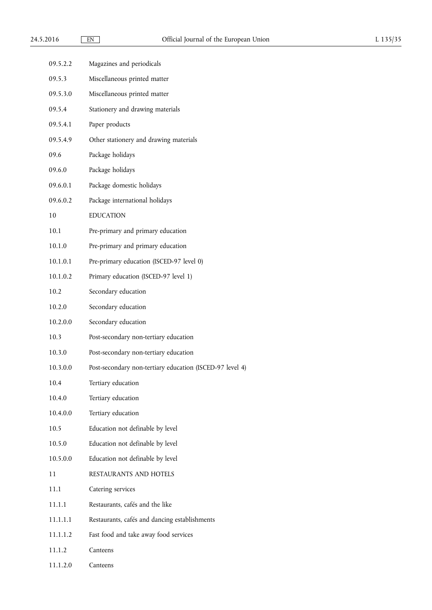| 09.5.2.2 | Magazines and periodicals                                |
|----------|----------------------------------------------------------|
| 09.5.3   | Miscellaneous printed matter                             |
| 09.5.3.0 | Miscellaneous printed matter                             |
| 09.5.4   | Stationery and drawing materials                         |
| 09.5.4.1 | Paper products                                           |
| 09.5.4.9 | Other stationery and drawing materials                   |
| 09.6     | Package holidays                                         |
| 09.6.0   | Package holidays                                         |
| 09.6.0.1 | Package domestic holidays                                |
| 09.6.0.2 | Package international holidays                           |
| 10       | <b>EDUCATION</b>                                         |
| 10.1     | Pre-primary and primary education                        |
| 10.1.0   | Pre-primary and primary education                        |
| 10.1.0.1 | Pre-primary education (ISCED-97 level 0)                 |
| 10.1.0.2 | Primary education (ISCED-97 level 1)                     |
| 10.2     | Secondary education                                      |
| 10.2.0   | Secondary education                                      |
| 10.2.0.0 | Secondary education                                      |
| 10.3     | Post-secondary non-tertiary education                    |
| 10.3.0   | Post-secondary non-tertiary education                    |
| 10.3.0.0 | Post-secondary non-tertiary education (ISCED-97 level 4) |
| 10.4     | Tertiary education                                       |
| 10.4.0   | Tertiary education                                       |
| 10.4.0.0 | Tertiary education                                       |
| 10.5     | Education not definable by level                         |
| 10.5.0   | Education not definable by level                         |
| 10.5.0.0 | Education not definable by level                         |
| 11       | RESTAURANTS AND HOTELS                                   |
| 11.1     | Catering services                                        |
| 11.1.1   | Restaurants, cafés and the like                          |
| 11.1.1.1 | Restaurants, cafés and dancing establishments            |
| 11.1.1.2 | Fast food and take away food services                    |
| 11.1.2   | Canteens                                                 |
|          |                                                          |

11.1.2.0 Canteens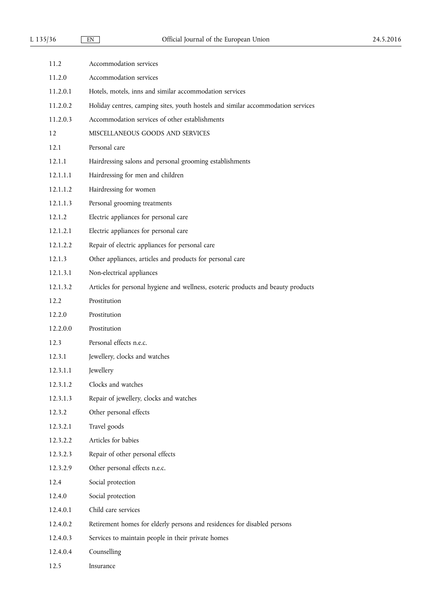| 11.2     | Accommodation services                                                            |
|----------|-----------------------------------------------------------------------------------|
| 11.2.0   | Accommodation services                                                            |
| 11.2.0.1 | Hotels, motels, inns and similar accommodation services                           |
| 11.2.0.2 | Holiday centres, camping sites, youth hostels and similar accommodation services  |
| 11.2.0.3 | Accommodation services of other establishments                                    |
| 12       | MISCELLANEOUS GOODS AND SERVICES                                                  |
| 12.1     | Personal care                                                                     |
| 12.1.1   | Hairdressing salons and personal grooming establishments                          |
| 12.1.1.1 | Hairdressing for men and children                                                 |
| 12.1.1.2 | Hairdressing for women                                                            |
| 12.1.1.3 | Personal grooming treatments                                                      |
| 12.1.2   | Electric appliances for personal care                                             |
| 12.1.2.1 | Electric appliances for personal care                                             |
| 12.1.2.2 | Repair of electric appliances for personal care                                   |
| 12.1.3   | Other appliances, articles and products for personal care                         |
| 12.1.3.1 | Non-electrical appliances                                                         |
| 12.1.3.2 | Articles for personal hygiene and wellness, esoteric products and beauty products |
| 12.2     | Prostitution                                                                      |
| 12.2.0   | Prostitution                                                                      |
| 12.2.0.0 | Prostitution                                                                      |
| 12.3     | Personal effects n.e.c.                                                           |
| 12.3.1   | Jewellery, clocks and watches                                                     |
| 12.3.1.1 | Jewellery                                                                         |
| 12.3.1.2 | Clocks and watches                                                                |
| 12.3.1.3 | Repair of jewellery, clocks and watches                                           |
| 12.3.2   | Other personal effects                                                            |
| 12.3.2.1 | Travel goods                                                                      |
| 12.3.2.2 | Articles for babies                                                               |
| 12.3.2.3 | Repair of other personal effects                                                  |
| 12.3.2.9 | Other personal effects n.e.c.                                                     |
| 12.4     | Social protection                                                                 |
| 12.4.0   | Social protection                                                                 |
| 12.4.0.1 | Child care services                                                               |
| 12.4.0.2 | Retirement homes for elderly persons and residences for disabled persons          |
| 12.4.0.3 | Services to maintain people in their private homes                                |
| 12.4.0.4 | Counselling                                                                       |
| 12.5     | Insurance                                                                         |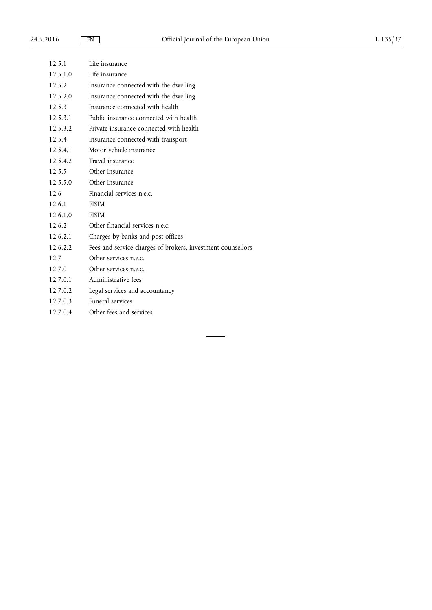$\overline{\phantom{a}}$ 

 $\overline{a}$ 

| 12.5.1   | Life insurance                                              |
|----------|-------------------------------------------------------------|
| 12.5.1.0 | Life insurance                                              |
| 12.5.2   | Insurance connected with the dwelling                       |
| 12.5.2.0 | Insurance connected with the dwelling                       |
| 12.5.3   | Insurance connected with health                             |
| 12.5.3.1 | Public insurance connected with health                      |
| 12.5.3.2 | Private insurance connected with health                     |
| 12.5.4   | Insurance connected with transport                          |
| 12.5.4.1 | Motor vehicle insurance                                     |
| 12.5.4.2 | Travel insurance                                            |
| 12.5.5   | Other insurance                                             |
| 12.5.5.0 | Other insurance                                             |
| 12.6     | Financial services n.e.c.                                   |
| 12.6.1   | <b>FISIM</b>                                                |
| 12.6.1.0 | <b>FISIM</b>                                                |
| 12.6.2   | Other financial services n.e.c.                             |
| 12.6.2.1 | Charges by banks and post offices                           |
| 12.6.2.2 | Fees and service charges of brokers, investment counsellors |
| 12.7     | Other services n.e.c.                                       |
| 12.7.0   | Other services n.e.c.                                       |
| 12.7.0.1 | Administrative fees                                         |
| 12.7.0.2 | Legal services and accountancy                              |
| 12.7.0.3 | Funeral services                                            |
| 12.7.0.4 | Other fees and services                                     |
|          |                                                             |